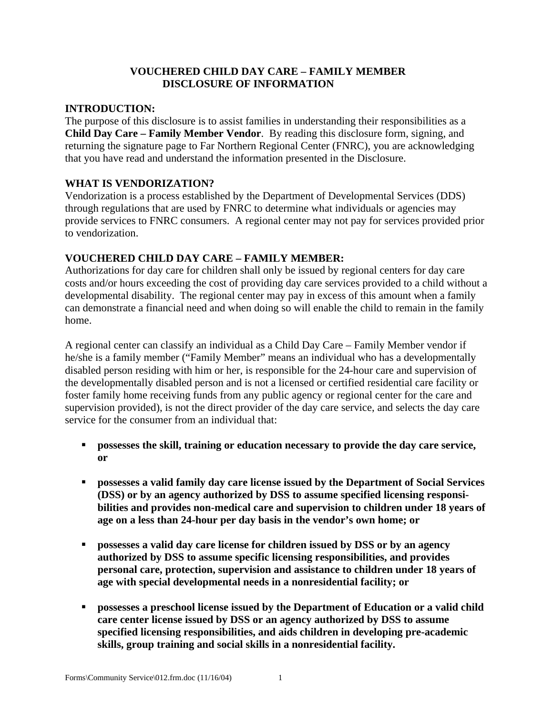### **VOUCHERED CHILD DAY CARE – FAMILY MEMBER DISCLOSURE OF INFORMATION**

#### **INTRODUCTION:**

The purpose of this disclosure is to assist families in understanding their responsibilities as a **Child Day Care – Family Member Vendor**. By reading this disclosure form, signing, and returning the signature page to Far Northern Regional Center (FNRC), you are acknowledging that you have read and understand the information presented in the Disclosure.

#### **WHAT IS VENDORIZATION?**

Vendorization is a process established by the Department of Developmental Services (DDS) through regulations that are used by FNRC to determine what individuals or agencies may provide services to FNRC consumers. A regional center may not pay for services provided prior to vendorization.

### **VOUCHERED CHILD DAY CARE – FAMILY MEMBER:**

Authorizations for day care for children shall only be issued by regional centers for day care costs and/or hours exceeding the cost of providing day care services provided to a child without a developmental disability. The regional center may pay in excess of this amount when a family can demonstrate a financial need and when doing so will enable the child to remain in the family home.

A regional center can classify an individual as a Child Day Care – Family Member vendor if he/she is a family member ("Family Member" means an individual who has a developmentally disabled person residing with him or her, is responsible for the 24-hour care and supervision of the developmentally disabled person and is not a licensed or certified residential care facility or foster family home receiving funds from any public agency or regional center for the care and supervision provided), is not the direct provider of the day care service, and selects the day care service for the consumer from an individual that:

- **possesses the skill, training or education necessary to provide the day care service, or**
- $\bullet$  possesses a valid family day care license issued by the Department of Social Services **(DSS) or by an agency authorized by DSS to assume specified licensing responsibilities and provides non-medical care and supervision to children under 18 years of age on a less than 24-hour per day basis in the vendor's own home; or**
- **possesses a valid day care license for children issued by DSS or by an agency authorized by DSS to assume specific licensing responsibilities, and provides personal care, protection, supervision and assistance to children under 18 years of age with special developmental needs in a nonresidential facility; or**
- **•** possesses a preschool license issued by the Department of Education or a valid child **care center license issued by DSS or an agency authorized by DSS to assume specified licensing responsibilities, and aids children in developing pre-academic skills, group training and social skills in a nonresidential facility.**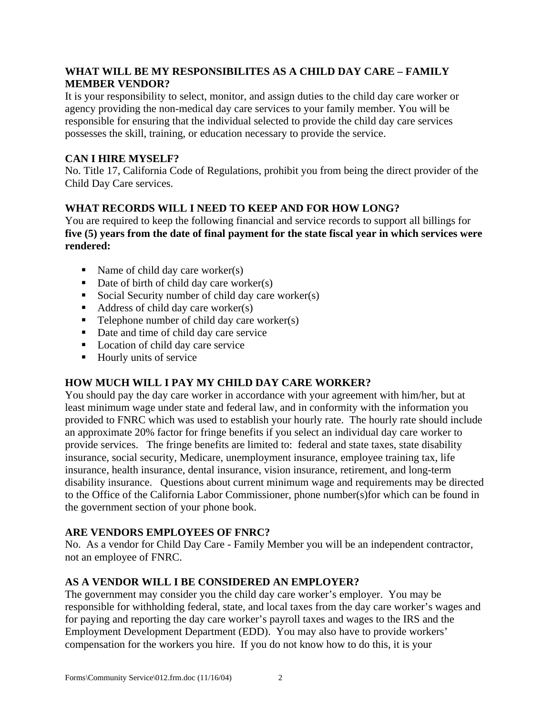### **WHAT WILL BE MY RESPONSIBILITES AS A CHILD DAY CARE – FAMILY MEMBER VENDOR?**

It is your responsibility to select, monitor, and assign duties to the child day care worker or agency providing the non-medical day care services to your family member. You will be responsible for ensuring that the individual selected to provide the child day care services possesses the skill, training, or education necessary to provide the service.

## **CAN I HIRE MYSELF?**

No. Title 17, California Code of Regulations, prohibit you from being the direct provider of the Child Day Care services.

# **WHAT RECORDS WILL I NEED TO KEEP AND FOR HOW LONG?**

You are required to keep the following financial and service records to support all billings for **five (5) years from the date of final payment for the state fiscal year in which services were rendered:**

- Name of child day care worker(s)
- $\blacksquare$  Date of birth of child day care worker(s)
- Social Security number of child day care worker(s)
- $\blacksquare$  Address of child day care worker(s)
- $\blacksquare$  Telephone number of child day care worker(s)
- Date and time of child day care service
- **Location of child day care service**
- Hourly units of service

# **HOW MUCH WILL I PAY MY CHILD DAY CARE WORKER?**

You should pay the day care worker in accordance with your agreement with him/her, but at least minimum wage under state and federal law, and in conformity with the information you provided to FNRC which was used to establish your hourly rate. The hourly rate should include an approximate 20% factor for fringe benefits if you select an individual day care worker to provide services. The fringe benefits are limited to: federal and state taxes, state disability insurance, social security, Medicare, unemployment insurance, employee training tax, life insurance, health insurance, dental insurance, vision insurance, retirement, and long-term disability insurance. Questions about current minimum wage and requirements may be directed to the Office of the California Labor Commissioner, phone number(s)for which can be found in the government section of your phone book.

### **ARE VENDORS EMPLOYEES OF FNRC?**

No. As a vendor for Child Day Care - Family Member you will be an independent contractor, not an employee of FNRC.

# **AS A VENDOR WILL I BE CONSIDERED AN EMPLOYER?**

The government may consider you the child day care worker's employer. You may be responsible for withholding federal, state, and local taxes from the day care worker's wages and for paying and reporting the day care worker's payroll taxes and wages to the IRS and the Employment Development Department (EDD). You may also have to provide workers' compensation for the workers you hire. If you do not know how to do this, it is your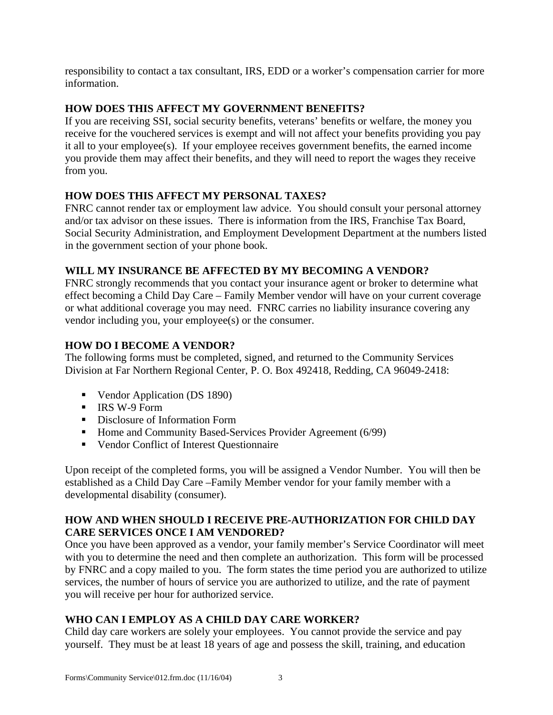responsibility to contact a tax consultant, IRS, EDD or a worker's compensation carrier for more information.

### **HOW DOES THIS AFFECT MY GOVERNMENT BENEFITS?**

If you are receiving SSI, social security benefits, veterans' benefits or welfare, the money you receive for the vouchered services is exempt and will not affect your benefits providing you pay it all to your employee(s). If your employee receives government benefits, the earned income you provide them may affect their benefits, and they will need to report the wages they receive from you.

## **HOW DOES THIS AFFECT MY PERSONAL TAXES?**

FNRC cannot render tax or employment law advice. You should consult your personal attorney and/or tax advisor on these issues. There is information from the IRS, Franchise Tax Board, Social Security Administration, and Employment Development Department at the numbers listed in the government section of your phone book.

### **WILL MY INSURANCE BE AFFECTED BY MY BECOMING A VENDOR?**

FNRC strongly recommends that you contact your insurance agent or broker to determine what effect becoming a Child Day Care – Family Member vendor will have on your current coverage or what additional coverage you may need. FNRC carries no liability insurance covering any vendor including you, your employee(s) or the consumer.

## **HOW DO I BECOME A VENDOR?**

The following forms must be completed, signed, and returned to the Community Services Division at Far Northern Regional Center, P. O. Box 492418, Redding, CA 96049-2418:

- Vendor Application (DS 1890)
- $\blacksquare$  IRS W-9 Form
- **Exercise Disclosure of Information Form**
- Home and Community Based-Services Provider Agreement  $(6/99)$
- **•** Vendor Conflict of Interest Questionnaire

Upon receipt of the completed forms, you will be assigned a Vendor Number. You will then be established as a Child Day Care –Family Member vendor for your family member with a developmental disability (consumer).

## **HOW AND WHEN SHOULD I RECEIVE PRE-AUTHORIZATION FOR CHILD DAY CARE SERVICES ONCE I AM VENDORED?**

Once you have been approved as a vendor, your family member's Service Coordinator will meet with you to determine the need and then complete an authorization. This form will be processed by FNRC and a copy mailed to you. The form states the time period you are authorized to utilize services, the number of hours of service you are authorized to utilize, and the rate of payment you will receive per hour for authorized service.

# **WHO CAN I EMPLOY AS A CHILD DAY CARE WORKER?**

Child day care workers are solely your employees. You cannot provide the service and pay yourself. They must be at least 18 years of age and possess the skill, training, and education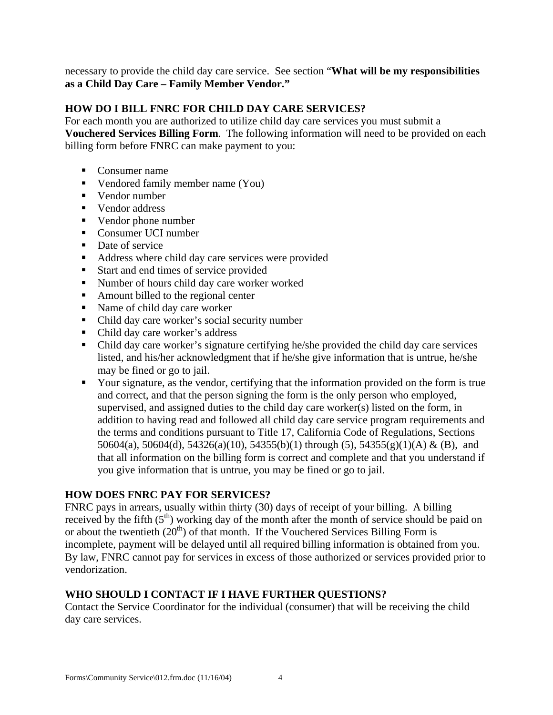necessary to provide the child day care service. See section "**What will be my responsibilities as a Child Day Care – Family Member Vendor."** 

### **HOW DO I BILL FNRC FOR CHILD DAY CARE SERVICES?**

For each month you are authorized to utilize child day care services you must submit a **Vouchered Services Billing Form**. The following information will need to be provided on each billing form before FNRC can make payment to you:

- Consumer name
- Vendored family member name (You)
- $\blacksquare$  Vendor number
- Vendor address
- Vendor phone number
- Consumer UCI number
- Date of service
- Address where child day care services were provided
- Start and end times of service provided
- **Number of hours child day care worker worked**
- Amount billed to the regional center
- Name of child day care worker
- Child day care worker's social security number
- Child day care worker's address
- Child day care worker's signature certifying he/she provided the child day care services listed, and his/her acknowledgment that if he/she give information that is untrue, he/she may be fined or go to jail.
- Your signature, as the vendor, certifying that the information provided on the form is true and correct, and that the person signing the form is the only person who employed, supervised, and assigned duties to the child day care worker(s) listed on the form, in addition to having read and followed all child day care service program requirements and the terms and conditions pursuant to Title 17, California Code of Regulations, Sections 50604(a), 50604(d), 54326(a)(10), 54355(b)(1) through (5), 54355(g)(1)(A) & (B), and that all information on the billing form is correct and complete and that you understand if you give information that is untrue, you may be fined or go to jail.

#### **HOW DOES FNRC PAY FOR SERVICES?**

FNRC pays in arrears, usually within thirty (30) days of receipt of your billing. A billing received by the fifth  $(5<sup>th</sup>)$  working day of the month after the month of service should be paid on or about the twentieth  $(20<sup>th</sup>)$  of that month. If the Vouchered Services Billing Form is incomplete, payment will be delayed until all required billing information is obtained from you. By law, FNRC cannot pay for services in excess of those authorized or services provided prior to vendorization.

### **WHO SHOULD I CONTACT IF I HAVE FURTHER QUESTIONS?**

Contact the Service Coordinator for the individual (consumer) that will be receiving the child day care services.